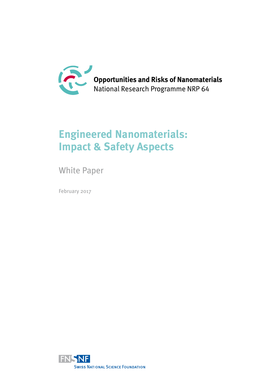

# **Engineered Nanomaterials: Impact & Safety Aspects**

White Paper

February 2017

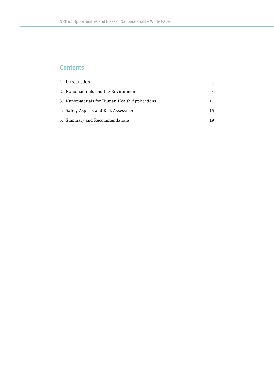## **Contents**

| 1 Introduction                                 |    |
|------------------------------------------------|----|
| 2. Nanomaterials and the Environment           | 4  |
| 3. Nanomaterials for Human Health Applications |    |
| 4. Safety Aspects and Risk Assessment          | 15 |
| 5. Summary and Recommendations                 | 19 |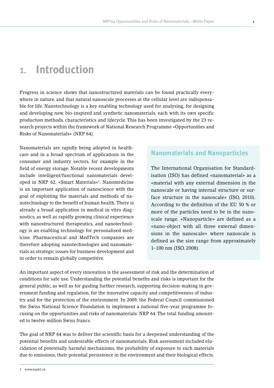# **1. Introduction**

Progress in science shows that nanostructured materials can be found practically everywhere in nature, and that natural nanoscale processes at the cellular level are indispensable for life. Nanotechnology is a key enabling technology used for analysing, for designing and developing new, bio-inspired and synthetic nanomaterials, each with its own specific production methods, characteristics and lifecycle. This has been investigated by the 23 research projects within the framework of National Research Programme «Opportunities and Risks of Nanomaterials» (NRP 64).

Nanomaterials are rapidly being adopted in healthcare and in a broad spectrum of applications in the consumer and industry sectors, for example in the field of energy storage. Notable recent developments include intelligent/functional nanomaterials developed in NRP 62, «Smart Materials»1 . Nanomedicine is an important application of nanoscience with the goal of exploiting the materials and methods of nanotechnology to the benefit of human health. There is already a broad application in medical in vitro diagnostics, as well as rapidly growing clinical experience with nanostructured therapeutics, and nanotechnology is an enabling technology for personalised medicine. Pharmaceutical and MedTech companies are therefore adopting nanotechnologies and nanomaterials as strategic issues for business development and in order to remain globally competitive.

## **Nanomaterials and Nanoparticles**

The International Organisation for Standardisation (ISO) has defined «nanomaterial» as a «material with any external dimension in the nanoscale or having internal structure or surface structure in the nanoscale» (ISO, 2010). According to the definition of the EU 50 % or more of the particles need to be in the nanoscale range. «Nanoparticle» are defined as a «nano-object with all three external dimensions in the nanoscale» where nanoscale is defined as the size range from approximately 1–100 nm (ISO, 2008).

An important aspect of every innovation is the assessment of risk and the determination of conditions for safe use. Understanding the potential benefits and risks is important for the general public, as well as for guiding further research, supporting decision-making in government funding and regulation, for the innovative capacity and competitiveness of industry and for the protection of the environment. In 2009, the Federal Council commissioned the Swiss National Science Foundation to implement a national five-year programme focusing on the opportunities and risks of nanomaterials: NRP 64. The total funding amounted to twelve million Swiss francs.

The goal of NRP 64 was to deliver the scientific basis for a deepened understanding of the potential benefits and undesirable effects of nanomaterials. Risk assessment included elucidation of potentially harmful mechanisms, the probability of exposure to such materials due to emissions, their potential persistence in the environment and their biological effects.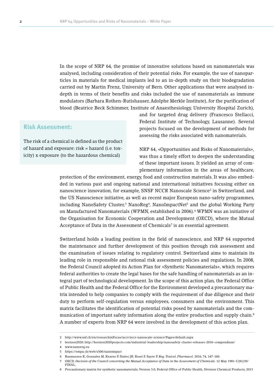In the scope of NRP 64, the promise of innovative solutions based on nanomaterials was analysed, including consideration of their potential risks. For example, the use of nanoparticles in materials for medical implants led to an in-depth study on their biodegradation carried out by Martin Frenz, University of Bern. Other applications that were analysed indepth in terms of their benefits and risks included the use of nanomaterials as immune modulators (Barbara Rothen-Rutishauser, Adolphe Merkle Institute), for the purification of blood (Beatrice Beck Schimmer, Institute of Anaesthesiology, University Hospital Zurich),

## **Risk Assessment:**

The risk of a chemical is defined as the product of hazard and exposure: risk = hazard (i.e. toxicity) x exposure (to the hazardous chemical)

and for targeted drug delivery (Francesco Stellacci, Federal Institute of Technology, Lausanne). Several projects focused on the development of methods for assessing the risks associated with nanomaterials.

NRP 64, «Opportunities and Risks of Nanomaterials», was thus a timely effort to deepen the understanding of these important issues. It yielded an array of complementary information in the areas of healthcare,

protection of the environment, energy, food and construction materials. It was also embedded in various past and ongoing national and international initiatives focusing either on nanoscience innovation, for example, SNSF NCCR Nanoscale Science<sup>2</sup> in Switzerland, and the US Nanoscience initiative, as well as recent major European nano-safety programmes, including NanoSafety Cluster,<sup>3</sup> NanoReg<sup>4</sup>, NanoImpactNet<sup>5</sup> and the global Working Party on Manufactured Nanomaterials (WPMN, established in 2006).<sup>6</sup> WPMN was an initiative of the Organisation for Economic Cooperation and Development (OECD), where the Mutual Acceptance of Data in the Assessment of Chemicals<sup> $7$ </sup> is an essential agreement.

Switzerland holds a leading position in the field of nanoscience, and NRP 64 supported the maintenance and further development of this position through risk assessment and the examination of issues relating to regulatory control. Switzerland aims to maintain its leading role in responsible and rational risk assessment policies and regulations. In 2008, the Federal Council adopted its Action Plan for «Synthetic Nanomaterials», which requires federal authorities to create the legal bases for the safe handling of nanomaterials as an integral part of technological development. In the scope of this action plan, the Federal Office of Public Health and the Federal Office for the Environment developed a precautionary matrix intended to help companies to comply with the requirement of due diligence and their duty to perform self-regulation versus employees, consumers and the environment. This matrix facilitates the identification of potential risks posed by nanomaterials and the communication of important safety information along the entire production and supply chain.8 A number of experts from NRP 64 were involved in the development of this action plan.

<sup>2</sup> http://www.snf.ch/en/researchinFocus/nccr/nccr-nanoscale-science/Pages/default.aspx

<sup>3</sup> horizon2020; http://horizon2020projects.com/industrial-leadership/nanosafety-cluster-releases-2016-compendium/

<sup>4</sup> www.nanoreg.eu

<sup>5</sup> https://empa.ch/web/s506/nanoimpact

<sup>6</sup> Rasmussen K, Gonzalez M, Kearns P, Sintes JR, Rossi F, Sayre P. *Reg. Toxicol. Pharmacol.* 2016; 74, 147-160.

<sup>7</sup> OECD. *Decision of the Council concerning the Mutual Acceptance of Data in the Assessment of Chemicals*. 12 May 1981-C(81)30/ FINAL.

<sup>8</sup> Precautionary matrix for synthetic nanomaterials, Version 3.0, Federal Office of Public Health, Division Chemical Products, 2013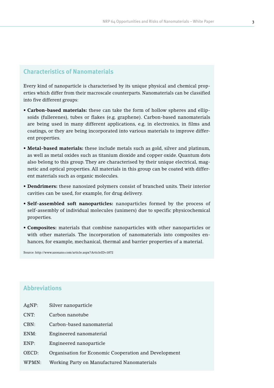## **Characteristics of Nanomaterials**

Every kind of nanoparticle is characterised by its unique physical and chemical properties which differ from their macroscale counterparts. Nanomaterials can be classified into five different groups:

- **• Carbon-based materials:** these can take the form of hollow spheres and ellipsoids (fullerenes), tubes or flakes (e.g. graphene). Carbon-based nanomaterials are being used in many different applications, e.g. in electronics, in films and coatings, or they are being incorporated into various materials to improve different properties.
- **• Metal-based materials:** these include metals such as gold, silver and platinum, as well as metal oxides such as titanium dioxide and copper oxide. Quantum dots also belong to this group. They are characterised by their unique electrical, magnetic and optical properties. All materials in this group can be coated with different materials such as organic molecules.
- **• Dendrimers:** these nanosized polymers consist of branched units. Their interior cavities can be used, for example, for drug delivery.
- **• Self-assembled soft nanoparticles:** nanoparticles formed by the process of self-assembly of individual molecules (unimers) due to specific physicochemical properties.
- **• Composites:** materials that combine nanoparticles with other nanoparticles or with other materials. The incorporation of nanomaterials into composites enhances, for example, mechanical, thermal and barrier properties of a material.

Source: http://www.azonano.com/article.aspx?ArticleID=1872

## **Abbreviations**

| AgNP: | Silver nanoparticle                                   |
|-------|-------------------------------------------------------|
| CNT:  | Carbon nanotube                                       |
| CBN:  | Carbon-based nanomaterial                             |
| ENM:  | Engineered nanomaterial                               |
| END:  | Engineered nanoparticle                               |
| OECD: | Organisation for Economic Cooperation and Development |
| WPMN: | Working Party on Manufactured Nanomaterials           |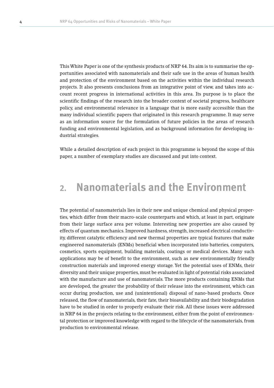This White Paper is one of the synthesis products of NRP 64. Its aim is to summarise the opportunities associated with nanomaterials and their safe use in the areas of human health and protection of the environment based on the activities within the individual research projects. It also presents conclusions from an integrative point of view, and takes into account recent progress in international activities in this area. Its purpose is to place the scientific findings of the research into the broader context of societal progress, healthcare policy, and environmental relevance in a language that is more easily accessible than the many individual scientific papers that originated in this research programme. It may serve as an information source for the formulation of future policies in the areas of research funding and environmental legislation, and as background information for developing industrial strategies.

While a detailed description of each project in this programme is beyond the scope of this paper, a number of exemplary studies are discussed and put into context.

# **2. Nanomaterials and the Environment**

The potential of nanomaterials lies in their new and unique chemical and physical properties, which differ from their macro-scale counterparts and which, at least in part, originate from their large surface area per volume. Interesting new properties are also caused by effects of quantum mechanics. Improved hardness, strength, increased electrical conductivity, different catalytic efficiency and new thermal properties are typical features that make engineered nanomaterials (ENMs) beneficial when incorporated into batteries, computers, cosmetics, sports equipment, building materials, coatings or medical devices. Many such applications may be of benefit to the environment, such as new environmentally friendly construction materials and improved energy storage. Yet the potential uses of ENMs, their diversity and their unique properties, must be evaluated in light of potential risks associated with the manufacture and use of nanomaterials. The more products containing ENMs that are developed, the greater the probability of their release into the environment, which can occur during production, use and (unintentional) disposal of nano-based products. Once released, the flow of nanomaterials, their fate, their bioavailability and their biodegradation have to be studied in order to properly evaluate their risk. All these issues were addressed in NRP 64 in the projects relating to the environment, either from the point of environmental protection or improved knowledge with regard to the lifecycle of the nanomaterials, from production to environmental release.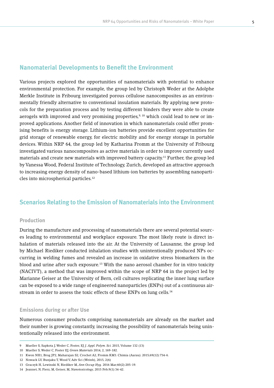## **Nanomaterial Developments to Benefit the Environment**

Various projects explored the opportunities of nanomaterials with potential to enhance environmental protection. For example, the group led by Christoph Weder at the Adolphe Merkle Institute in Fribourg investigated porous cellulose nanocomposites as an environmentally friendly alternative to conventional insulation materials. By applying new protocols for the preparation process and by testing different binders they were able to create aerogels with improved and very promising properties,<sup>9, 10</sup> which could lead to new or improved applications. Another field of innovation in which nanomaterials could offer promising benefits is energy storage. Lithium-ion batteries provide excellent opportunities for grid storage of renewable energy, for electric mobility and for energy storage in portable devices. Within NRP 64, the group led by Katharina Fromm at the University of Fribourg investigated various nanocomposites as active materials in order to improve currently used materials and create new materials with improved battery capacity.11 Further, the group led by Vanessa Wood, Federal Institute of Technology, Zurich, developed an attractive approach to increasing energy density of nano-based lithium-ion batteries by assembling nanoparticles into microspherical particles.12

## **Scenarios Relating to the Emission of Nanomaterials into the Environment**

### **Production**

During the manufacture and processing of nanomaterials there are several potential sources leading to environmental and workplace exposure. The most likely route is direct inhalation of materials released into the air. At the University of Lausanne, the group led by Michael Riediker conducted inhalation studies with unintentionally produced NPs occurring in welding fumes and revealed an increase in oxidative stress biomarkers in the blood and urine after such exposure.13 With the nano aerosol chamber for in vitro toxicity (NACIVT), a method that was improved within the scope of NRP 64 in the project led by Marianne Geiser at the University of Bern, cell cultures replicating the inner lung surface can be exposed to a wide range of engineered nanoparticles (ENPs) out of a continuous airstream in order to assess the toxic effects of these ENPs on lung cells.<sup>14</sup>

#### **Emissions during or after Use**

Numerous consumer products comprising nanomaterials are already on the market and their number is growing constantly, increasing the possibility of nanomaterials being unintentionally released into the environment.

<sup>9</sup> Mueller S, Sapkota J, Weder C, Foster, EJ *J. Appl. Polym. Sci.* 2015, Volume 132 (13)

<sup>10</sup> Mueller S, Weder C, Foster EJ, *Green Materials* 2014, 2, 169-182.

<sup>11</sup> Kwon NH1, Brog JP2, Maharajan S2, Crochet A2, Fromm KM3. Chimia (Aarau). 2015;69(12):734-6.

<sup>12</sup> Nowack LV, Bunjaku T, Wood V, Adv Sci (Weinh), 2015, 2(6)

<sup>13</sup> Graczyk H, Lewinski N, Riediker M, *Ann Occup Hyg.* 2016 Mar;60(2):205-19.

<sup>14</sup> Jeannet, N, Fierz, M, Geiser, M, *Nanotoxicology*, 2015 Feb;9(1):34-42.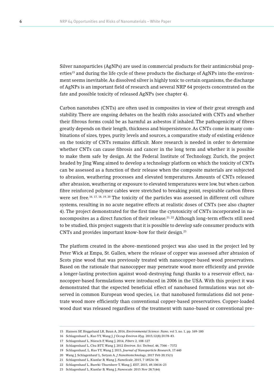Silver nanoparticles (AgNPs) are used in commercial products for their antimicrobial properties<sup>15</sup> and during the life cycle of these products the discharge of AgNPs into the environment seems inevitable. As dissolved silver is highly toxic to certain organisms, the discharge of AgNPs is an important field of research and several NRP 64 projects concentrated on the fate and possible toxicity of released AgNPs (see chapter 4).

Carbon nanotubes (CNTs) are often used in composites in view of their great strength and stability. There are ongoing debates on the health risks associated with CNTs and whether their fibrous forms could be as harmful as asbestos if inhaled. The pathogenicity of fibres greatly depends on their length, thickness and biopersistence. As CNTs come in many combinations of sizes, types, purity levels and sources, a comparative study of existing evidence on the toxicity of CNTs remains difficult. More research is needed in order to determine whether CNTs can cause fibrosis and cancer in the long term and whether it is possible to make them safe by design. At the Federal Institute of Technology, Zurich, the project headed by Jing Wang aimed to develop a technology platform on which the toxicity of CNTs can be assessed as a function of their release when the composite materials are subjected to abrasion, weathering processes and elevated temperatures. Amounts of CNTs released after abrasion, weathering or exposure to elevated temperatures were low, but when carbon fibre reinforced polymer cables were stretched to breaking point, respirable carbon fibres were set free.<sup>16, 17, 18, 19, 20</sup> The toxicity of the particles was assessed in different cell culture systems, resulting in no acute negative effects at realistic doses of CNTs (see also chapter 4). The project demonstrated for the first time the cytotoxicity of CNTs incorporated in nanocomposites as a direct function of their release.<sup>21, 22</sup> Although long-term effects still need to be studied, this project suggests that it is possible to develop safe consumer products with CNTs and provides important know-how for their design.23

The platform created in the above-mentioned project was also used in the project led by Peter Wick at Empa, St. Gallen, where the release of copper was assessed after abrasion of Scots pine wood that was previously treated with nanocopper-based wood preservatives. Based on the rationale that nanocopper may penetrate wood more efficiently and provide a longer-lasting protection against wood-destroying fungi thanks to a reservoir effect, nanocopper-based formulations were introduced in 2006 in the USA. With this project it was demonstrated that the expected beneficial effect of nanobased formulations was not observed in common European wood species, i.e. that nanobased formulations did not penetrate wood more efficiently than conventional copper-based preservatives. Copper-loaded wood dust was released regardless of the treatment with nano-based or conventional pre-

<sup>15</sup> Hansen SF, Heggelund LR, Baun A, 2016, *Environmental Science: Nano*, vol 3, no. 1, pp. 169-180

<sup>16</sup> Schlagenhauf L, Kuo YY, Wang J. *J Occup Environ Hyg.* 2015;12(8):D178-83.

<sup>17</sup> Schlagenhauf L, Nüesch F, Wang J, 2014, *Fibers* 2, 108-127

<sup>18</sup> Schlagenhauf L, Chu BTT, Wang J, 2012 *Environ. Sci. Technol*, 46, 7366 – 7372

<sup>19</sup> Schlagenhauf, L, Kuo YY, Wang J, 2015, *Journal of Nanoparticle Research*, 17:440

<sup>20</sup> Wang J, Schlagenhauf L, Setyan A, *J Nanobiotechnology*, 2017 Feb 20;15(1)

<sup>21</sup> Schlagenhauf L, Kianfar B, Wang J, *NanoScale*, 2015, 7 18524-36

<sup>22</sup> Schlagenhauf L, Buerki-Thurnherr T, Wang J, *EST*, 2015, 49,10616-23

<sup>23</sup> Schlagenhauf L, Kianfar B, Wang J, *Nanoscale*. 2015 Nov 28;7(44)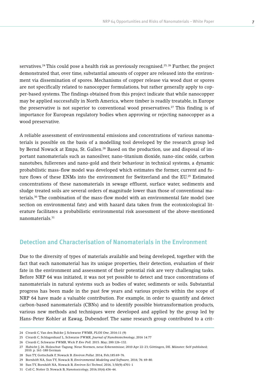servatives.<sup>24</sup> This could pose a health risk as previously recognised.<sup>25, 26</sup> Further, the project demonstrated that, over time, substantial amounts of copper are released into the environment via dissemination of spores. Mechanisms of copper release via wood dust or spores are not specifically related to nanocopper formulations, but rather generally apply to copper-based systems. The findings obtained from this project indicate that while nanocopper may be applied successfully in North America, where timber is readily treatable, in Europe the preservative is not superior to conventional wood preservatives.27 This finding is of importance for European regulatory bodies when approving or rejecting nanocopper as a wood preservative.

A reliable assessment of environmental emissions and concentrations of various nanomaterials is possible on the basis of a modelling tool developed by the research group led by Bernd Nowack at Empa, St. Gallen.<sup>28</sup> Based on the production, use and disposal of important nanomaterials such as nanosilver, nano-titanium dioxide, nano-zinc oxide, carbon nanotubes, fullerenes and nano-gold and their behaviour in technical systems, a dynamic probabilistic mass-flow model was developed which estimates the former, current and future flows of these ENMs into the environment for Switzerland and the EU.<sup>29</sup> Estimated concentrations of these nanomaterials in sewage effluent, surface water, sediments and sludge treated soils are several orders of magnitude lower than those of conventional materials.30 The combination of the mass-flow model with an environmental fate model (see section on environmental fate) and with hazard data taken from the ecotoxicological literature facilitates a probabilistic environmental risk assessment of the above-mentioned nanomaterials.31

## **Detection and Characterisation of Nanomaterials in the Environment**

Due to the diversity of types of materials available and being developed, together with the fact that each nanomaterial has its unique properties, their detection, evaluation of their fate in the environment and assessment of their potential risk are very challenging tasks. Before NRP 64 was initiated, it was not yet possible to detect and trace concentrations of nanomaterials in natural systems such as bodies of water, sediments or soils. Substantial progress has been made in the past few years and various projects within the scope of NRP 64 have made a valuable contribution. For example, in order to quantify and detect carbon-based nanomaterials (CBNs) and to identify possible biotransformation products, various new methods and techniques were developed and applied by the group led by Hans-Peter Kohler at Eawag, Dubendorf. The same research group contributed to a crit-

<sup>24</sup> Civardi C, Van den Bulcke J, Schwarze FWMR, *PLOS One*, 2016:11 (9)

<sup>25</sup> Civardi C, Schlagenhauf L, Schwarze FWMR, *Journal of Nanobiotechnology*, 2016 14:77

<sup>26</sup> Civardi C, Schwarze FWMR, Wick P. *Env Poll.* 2015. May; 200:126–132.

<sup>27</sup> Habicht J, 26. Holzschut-Tagung. Neue Normen, neue Erkenntnisse; 2010 Apr 22-23; Göttingen, DE. Münster: Self published; 2010. p. 161-188 German

<sup>28</sup> Sun TY, Gottschalk F, Nowack B. *Environ Pollut*. 2014, Feb;185:69-76.

<sup>29</sup> Bornhöft NA, Sun TY, Nowack B, *Environmental Modeling and Software,* 2016; 76: 69-80.

<sup>30</sup> Sun TY, Bornhöft NA, Nowack B, *Environ Sci Technol*, 2016, 3;50(9):4701-1

<sup>31</sup> Coll C, Notter D, Nowack B, *Nanotoxicology*, 2016;10(4):436-44.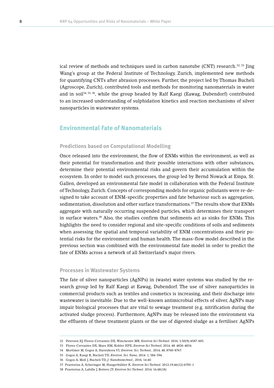ical review of methods and techniques used in carbon nanotube (CNT) research. $32, 33$  Jing Wang's group at the Federal Institute of Technology, Zurich, implemented new methods for quantifying CNTs after abrasion processes. Further, the project led by Thomas Bucheli (Agroscope, Zurich), contributed tools and methods for monitoring nanomaterials in water and in soil<sup>34, 35, 36</sup>, while the group headed by Ralf Kaegi (Eawag, Dubendorf) contributed to an increased understanding of sulphidation kinetics and reaction mechanisms of silver nanoparticles in wastewater systems.

## **Environmental Fate of Nanomaterials**

#### **Predictions based on Computational Modelling**

Once released into the environment, the flow of ENMs within the environment, as well as their potential for transformation and their possible interactions with other substances, determine their potential environmental risks and govern their accumulation within the ecosystem. In order to model such processes, the group led by Bernd Nowack at Empa, St. Gallen, developed an environmental fate model in collaboration with the Federal Institute of Technology, Zurich. Concepts of corresponding models for organic pollutants were re-designed to take account of ENM-specific properties and fate behaviour such as aggregation, sedimentation, dissolution and other surface transformations.<sup>37</sup> The results show that ENMs aggregate with naturally occurring suspended particles, which determines their transport in surface waters.38 Also, the studies confirm that sediments act as sinks for ENMs. This highlights the need to consider regional and site-specific conditions of soils and sediments when assessing the spatial and temporal variability of ENM concentrations and their potential risks for the environment and human health. The mass-flow model described in the previous section was combined with the environmental fate model in order to predict the fate of ENMs across a network of all Switzerland's major rivers.

#### **Processes in Wastewater Systems**

The fate of silver nanoparticles (AgNPs) in (waste) water systems was studied by the research group led by Ralf Kaegi at Eawag, Dubendorf. The use of silver nanoparticles in commercial products such as textiles and cosmetics is increasing, and their discharge into wastewater is inevitable. Due to the well-known antimicrobial effects of silver, AgNPs may impair biological processes that are vital to sewage treatment (e.g. nitrification during the activated sludge process). Furthermore, AgNPs may be released into the environment via the effluents of these treatment plants or the use of digested sludge as a fertiliser. AgNPs

<sup>32</sup> Petersen EJ, Flores-Cervantes DX, Winchester MR, *Environ Sci Technol.* 2016; 3;50(9):4587-605.

<sup>33</sup> Flores-Cervantes DX, Maes HM, Kohler HPE, *Environ Sci Technol*, 2014; 48: 4826-4834.

<sup>34</sup> Mortimer M, Gogos A, Slaveykova VI, *Environ. Sci. Technol.*, 2014, 48, 8760-8767.

<sup>35</sup> Gogos A, Kaegi R, Bucheli TD, *Environ. Sci. Nano*, 2014. 1, 584-594.

<sup>36</sup> Gogos A, Moll J, Bucheli TD, *J. Nanobiotechnol*., 2016, 14:40.

<sup>37</sup> Praetorius A, Scheringer M, Hungerbühler K, *Environ Sci Technol.* 2012;19;46(12):6705-1

<sup>38</sup> Praetorius A, Labille J, Bottero JY. *Environ Sci Technol.* 2014; 16;48(18)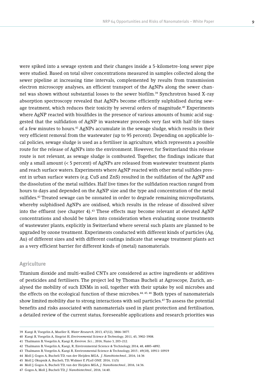were spiked into a sewage system and their changes inside a 5-kilometre-long sewer pipe were studied. Based on total silver concentrations measured in samples collected along the sewer pipeline at increasing time intervals, complemented by results from transmission electron microscopy analyses, an efficient transport of the AgNPs along the sewer channel was shown without substantial losses to the sewer biofilm.39 Synchrotron based X-ray absorption spectroscopy revealed that AgNPs become efficiently sulphidised during sewage treatment, which reduces their toxicity by several orders of magnitude.<sup>40</sup> Experiments where AgNP reacted with bisulfides in the presence of various amounts of humic acid suggested that the sulfidation of AgNP in wastewater proceeds very fast with half-life times of a few minutes to hours.<sup>41</sup> AgNPs accumulate in the sewage sludge, which results in their very efficient removal from the wastewater (up to 95 percent). Depending on applicable local policies, sewage sludge is used as a fertiliser in agriculture, which represents a possible route for the release of AgNPs into the environment. However, for Switzerland this release route is not relevant, as sewage sludge is combusted. Together, the findings indicate that only a small amount (< 5 percent) of AgNPs are released from wastewater treatment plants and reach surface waters. Experiments where AgNP reacted with other metal sulfides present in urban surface waters (e.g. CuS and ZnS) resulted in the sulfidation of the AgNP and the dissolution of the metal sulfides. Half live times for the sulfidation reaction ranged from hours to days and depended on the AgNP size and the type and concentration of the metal sulfides.<sup>42</sup> Treated sewage can be ozonated in order to degrade remaining micropollutants, whereby sulphidised AgNPs are oxidised, which results in the release of dissolved silver into the effluent (see chapter 4).<sup>43</sup> These effects may become relevant at elevated AgNP concentrations and should be taken into consideration when evaluating ozone treatments of wastewater plants, explicitly in Switzerland where several such plants are planned to be upgraded by ozone treatment. Experiments conducted with different kinds of particles (Ag, Au) of different sizes and with different coatings indicate that sewage treatment plants act as a very efficient barrier for different kinds of (metal) nanomaterials.

#### **Agriculture**

Titanium dioxide and multi-walled CNTs are considered as active ingredients or additives of pesticides and fertilisers. The project led by Thomas Bucheli at Agroscope, Zurich, analysed the mobility of such ENMs in soil, together with their uptake by soil microbes and the effects on the ecological function of these microbes.<sup>44, 45, 46</sup> Both types of nanomaterials show limited mobility due to strong interactions with soil particles.47 To assess the potential benefits and risks associated with nanomaterials used in plant protection and fertilisation, a detailed review of the current status, foreseeable applications and research priorities was

<sup>39</sup> Kaegi R, Voegelin A, Mueller E, *Water Research*, 2013, 47(12), 3866–3877.

<sup>40</sup> Kaegi R, Voegelin A, Siegrist H, *Environmental Science & Technology*, 2011, 45, 3902–3908.

<sup>41</sup> Thalmann B, Voegelin A, Kaegi R, *Environ. Sci.:*, 2016, Nano 3, 203–212.

<sup>42</sup> Thalmann B, Voegelin A, Kaegi, R, Environmental Science & Technology, 2014, 48, 4885–4892.

<sup>43</sup> Thalmann B, Voegelin A, Kaegi R, Environmental Science & Technology, 2015 ; 49(18), 10911–10919

<sup>44</sup> Moll J, Gogos A, Bucheli TD, van der Heijden MGA, *J. Nanobiotechnol*., 2016, 14:36

<sup>45</sup> Moll J, Okupnik A, Bucheli, TD, Widmer F, *PLoS ONE.* 2016, 11(5)

<sup>46</sup> Moll J, Gogos A, Bucheli TD, van der Heijden MGA, *J. Nanobiotechnol.*, 2016, 14:36.

<sup>47</sup> Gogos A, Moll J, Bucheli TD, *J. Nanobiotechnol.*, 2016, 14:40.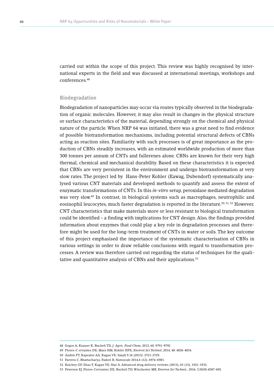carried out within the scope of this project. This review was highly recognised by international experts in the field and was discussed at international meetings, workshops and conferences.48

#### **Biodegradation**

Biodegradation of nanoparticles may occur via routes typically observed in the biodegradation of organic molecules. However, it may also result in changes in the physical structure or surface characteristics of the material, depending strongly on the chemical and physical nature of the particle. When NRP 64 was initiated, there was a great need to find evidence of possible biotransformation mechanisms, including potential structural defects of CBNs acting as reaction sites. Familiarity with such processes is of great importance as the production of CBNs steadily increases, with an estimated worldwide production of more than 300 tonnes per annum of CNTs and fullerenes alone. CBNs are known for their very high thermal, chemical and mechanical durability. Based on these characteristics it is expected that CBNs are very persistent in the environment and undergo biotransformation at very slow rates. The project led by Hans-Peter Kohler (Eawag, Dubendorf) systematically analysed various CNT materials and developed methods to quantify and assess the extent of enzymatic transformations of CNTs. In this *in-vitro* setup, peroxidase mediated degradation was very slow.49 In contrast, in biological systems such as macrophages, neutrophilic and eosinophil leucocytes, much faster degradation is reported in the literature.<sup>50, 51, 52</sup> However, CNT characteristics that make materials more or less resistant to biological transformation could be identified – a finding with implications for CNT design. Also, the findings provided information about enzymes that could play a key role in degradation processes and therefore might be used for the long-term treatment of CNTs in water or soils. The key outcome of this project emphasised the importance of the systematic characterisation of CBNs in various settings in order to draw reliable conclusions with regard to transformation processes. A review was therefore carried out regarding the status of techniques for the qualitative and quantitative analysis of CBNs and their applications.<sup>53</sup>

<sup>48</sup> Gogos A, Knauer K, Bucheli TD, *J. Agric. Food Che*m, 2012, 60, 9791-9792

<sup>49</sup> Flores-C ervantes DX, Maes HM, Kohler HPE, *Environ Sci Technol*, 2014; 48: 4826-4834

<sup>50</sup> Andón FT, Kapralov AA, Kagan VE. Small 9.16 (2013): 2721-2729.

<sup>51</sup> Farrera C, Bhattacharya, Fadeel B. *Nanoscale* 2014,6 (12), 6974-6983.

<sup>52</sup> Kotchey GP, Zhao Y, Kagan VE, Star A. Advanced drug delivery reviews (2013), 65 (15), 1921-1932.

<sup>53</sup> Petersen EJ, Flores-Cervantes DX, Bucheli TD, Winchester MR, *Environ Sci Technol.*, 2016; 3;50(9):4587-605.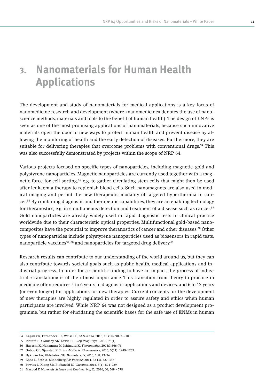# **3. Nanomaterials for Human Health Applications**

The development and study of nanomaterials for medical applications is a key focus of nanomedicine research and development (where «nanomedicine» denotes the use of nanoscience methods, materials and tools to the benefit of human health). The design of ENPs is seen as one of the most promising applications of nanomaterials, because such innovative materials open the door to new ways to protect human health and prevent disease by allowing the monitoring of health and the early detection of diseases. Furthermore, they are suitable for delivering therapies that overcome problems with conventional drugs. $54$  This was also successfully demonstrated by projects within the scope of NRP 64.

Various projects focused on specific types of nanoparticles, including magnetic, gold and polystyrene nanoparticles. Magnetic nanoparticles are currently used together with a magnetic force for cell sorting,55 e.g. to gather circulating stem cells that might then be used after leukaemia therapy to replenish blood cells. Such nanomagnets are also used in medical imaging and permit the new therapeutic modality of targeted hyperthermia in cancer.56 By combining diagnostic and therapeutic capabilities, they are an enabling technology for theranostics, e.g. in simultaneous detection and treatment of a disease such as cancer.<sup>57</sup> Gold nanoparticles are already widely used in rapid diagnostic tests in clinical practice worldwide due to their characteristic optical properties. Multifunctional gold-based nanocomposites have the potential to improve theranostics of cancer and other diseases.58 Other types of nanoparticles include polystyrene nanoparticles used as biosensors in rapid tests, nanoparticle vaccines<sup>59, 60</sup> and nanoparticles for targeted drug delivery.<sup>61</sup>

Research results can contribute to our understanding of the world around us, but they can also contribute towards societal goals such as public health, medical applications and industrial progress. In order for a scientific finding to have an impact, the process of industrial «translation» is of the utmost importance. This transition from theory to practice in medicine often requires 4 to 6 years in diagnostic applications and devices, and 6 to 12 years (or even longer) for applications for new therapies. Current concepts for the development of new therapies are highly regulated in order to assure safety and ethics when human participants are involved. While NRP 64 was not designed as a product development programme, but rather for elucidating the scientific bases for the safe use of ENMs in human

<sup>54</sup> Kagan CR, Fernandez LE, Weiss PS, *ACS-Nano*, 2016, 10 (10), 9093–9103.

<sup>55</sup> Plouffe BD, Murthy SK, Lewis LH, *Rep Prog Phys*., 2015, 78(1)

<sup>56</sup> Hayashi K, Nakamura M, Ishimura K. *Theranostics*. 2013;3:366-76

<sup>57</sup> Gobbo OL, Sjaastad K, Prina-Mello A. *Theranostics*; 2015; 5(11): 1249–1263.

<sup>58</sup> Dykman LA, Khlebstov NG. *Biomaterials*; 2016, 108, 13-34

<sup>59</sup> Zhao L, Seth A, Middelberg AP. *Vaccine*; 2014, 32 (3), 327-337

<sup>60</sup> Powles L, Xiang SD, Plebanski M, *Vaccines*, 2015, 3(4): 894–929

<sup>61</sup> Masood F. *Materials Science and Engineering*, C, 2016; 60, 569 - 578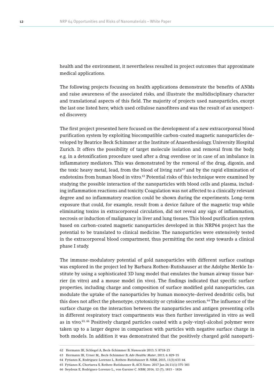health and the environment, it nevertheless resulted in project outcomes that approximate medical applications.

The following projects focusing on health applications demonstrate the benefits of ANMs and raise awareness of the associated risks, and illustrate the multidisciplinary character and translational aspects of this field. The majority of projects used nanoparticles, except the last one listed here, which used cellulose nanofibres and was the result of an unexpected discovery.

The first project presented here focused on the development of a new extracorporeal blood purification system by exploiting biocompatible carbon-coated magnetic nanoparticles developed by Beatrice Beck Schimmer at the Institute of Anaesthesiology, University Hospital Zurich. It offers the possibility of target molecule isolation and removal from the body, e.g. in a detoxification procedure used after a drug overdose or in case of an imbalance in inflammatory mediators. This was demonstrated by the removal of the drug, digoxin, and the toxic heavy metal, lead, from the blood of living rats<sup>62</sup> and by the rapid elimination of endotoxins from human blood in vitro.<sup>63</sup> Potential risks of this technique were examined by studying the possible interaction of the nanoparticles with blood cells and plasma, including inflammation reactions and toxicity. Coagulation was not affected to a clinically relevant degree and no inflammatory reaction could be shown during the experiments. Long-term exposure that could, for example, result from a device failure of the magnetic trap while eliminating toxins in extracorporeal circulation, did not reveal any sign of inflammation, necrosis or induction of malignancy in liver and lung tissues. This blood purification system based on carbon-coated magnetic nanoparticles developed in this NRP64 project has the potential to be translated to clinical medicine. The nanoparticles were extensively tested in the extracorporeal blood compartment, thus permitting the next step towards a clinical phase I study.

The immune-modulatory potential of gold nanoparticles with different surface coatings was explored in the project led by Barbara Rothen-Rutishauser at the Adolphe Merkle Institute by using a sophisticated 3D lung model that emulates the human airway tissue barrier (in vitro) and a mouse model (in vivo). The findings indicated that specific surface properties, including charge and composition of surface modified gold nanoparticles, can modulate the uptake of the nanoparticles by human monocyte-derived dendritic cells, but this does not affect the phenotype, cytotoxicity or cytokine secretion.64 The influence of the surface charge on the interaction between the nanoparticles and antigen presenting cells in different respiratory tract compartments was then further investigated in vitro as well as in vivo.65, 66 Positively charged particles coated with a poly-vinyl-alcohol polymer were taken up to a larger degree in comparison with particles with negative surface charge in both models. In addition it was demonstrated that the positively charged gold nanoparti-

<sup>62</sup> Hermann IK, Schlegel A, Beck-Schimmer B, *Nanoscale* 2013; 5: 8718-23

<sup>63</sup> Hermann IK, Urner M,, Beck-Schimmer B, *Adv Healthc Mater*, 2013, 6: 829-35

<sup>64</sup> Fytianos K, Rodriguez-Lorenzo L, Rothen-Rutishauser B. *NBM*, 2015, 11(3):633-44.

<sup>65</sup> Fytianos K, Chortarea S, Rothen-Rutishauser B, *ACS Nano*. 2017 Jan 24;11(1):375-383

<sup>66</sup> Seydoux E, Rodriguez-Lorenzo L,, von Garnier C. *NBM*; 2016, 12 (7), 1815 - 1826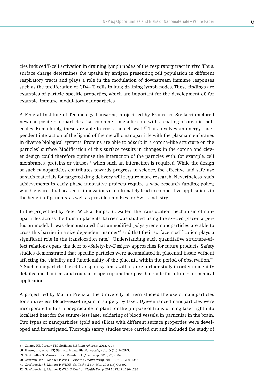cles induced T-cell activation in draining lymph nodes of the respiratory tract in vivo. Thus, surface charge determines the uptake by antigen presenting cell population in different respiratory tracts and plays a role in the modulation of downstream immune responses such as the proliferation of CD4+ T cells in lung draining lymph nodes. These findings are examples of particle-specific properties, which are important for the development of, for example, immune-modulatory nanoparticles.

A Federal Institute of Technology, Lausanne, project led by Francesco Stellacci explored new composite nanoparticles that combine a metallic core with a coating of organic molecules. Remarkably, these are able to cross the cell wall.<sup>67</sup> This involves an energy independent interaction of the ligand of the metallic nanoparticle with the plasma membranes in diverse biological systems. Proteins are able to adsorb in a corona-like structure on the particles' surface. Modification of this surface results in changes in the corona and clever design could therefore optimise the interaction of the particles with, for example, cell membranes, proteins or viruses<sup>68</sup> when such an interaction is required. While the design of such nanoparticles contributes towards progress in science, the effective and safe use of such materials for targeted drug delivery will require more research. Nevertheless, such achievements in early phase innovative projects require a wise research funding policy, which ensures that academic innovations can ultimately lead to competitive applications to the benefit of patients, as well as provide impulses for Swiss industry.

In the project led by Peter Wick at Empa, St. Gallen, the translocation mechanism of nanoparticles across the human placenta barrier was studied using the *ex-vivo* placenta perfusion model. It was demonstrated that unmodified polystyrene nanoparticles are able to cross this barrier in a size dependent manner<sup>69</sup> and that their surface modification plays a significant role in the translocation rate.<sup>70</sup> Understanding such quantitative structure-effect relations opens the door to «Safety-by-Design» approaches for future products. Safety studies demonstrated that specific particles were accumulated in placental tissue without affecting the viability and functionality of the placenta within the period of observation.<sup>71,</sup>  $72$  Such nanoparticle-based transport systems will require further study in order to identify detailed mechanisms and could also open up another possible route for future nanomedical applications.

A project led by Martin Frenz at the University of Bern studied the use of nanoparticles for suture-less blood-vessel repair in surgery by laser. Dye-enhanced nanoparticles were incorporated into a biodegradable implant for the purpose of transforming laser light into localised heat for the suture-less laser soldering of blood vessels, in particular in the brain. Two types of nanoparticles (gold and silica) with different surface properties were developed and investigated. Thorough safety studies were carried out and included the study of

<sup>67</sup> Carney RP, Carney TM, Stellacci F. *Biointerphases*;, 2012, 7, 17

<sup>68</sup> Huang R, Carney RP, Stellacci F, Lau BL. *Nanoscale*; 2013, 5 (15), 6928-35

<sup>69</sup> Grafmüller S, Manser P, von Mandach U, *J. Vis. Exp.* 2013, 76, e50401

<sup>70</sup> Grafmueller S, Manser P, Wick P, *Environ Health Persp*, 2015 123:12 1280-1286

<sup>71</sup> Grafmueller S, Manser P, WickP, *Sci Technol adv Mat*, 2015(16) 044602

<sup>72</sup> Grafmueller S, Manser P, Wick P, *Environ Health Pers*p, 2015 123:12 1280-1286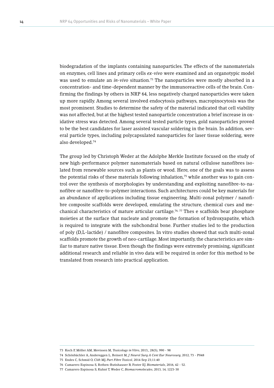biodegradation of the implants containing nanoparticles. The effects of the nanomaterials on enzymes, cell lines and primary cells *ex-vivo* were examined and an organotypic model was used to emulate an *in-vivo* situation.<sup>73</sup> The nanoparticles were mostly absorbed in a concentration- and time-dependent manner by the immunoreactive cells of the brain. Confirming the findings by others in NRP 64, less negatively charged nanoparticles were taken up more rapidly. Among several involved endocytosis pathways, macropinocytosis was the most prominent. Studies to determine the safety of the material indicated that cell viability was not affected, but at the highest tested nanoparticle concentration a brief increase in oxidative stress was detected. Among several tested particle types, gold nanoparticles proved to be the best candidates for laser assisted vascular soldering in the brain. In addition, several particle types, including polycapsulated nanoparticles for laser tissue soldering, were also developed.74

The group led by Christoph Weder at the Adolphe Merkle Institute focused on the study of new high-performance polymer nanomaterials based on natural cellulose nanofibres isolated from renewable sources such as plants or wood. Here, one of the goals was to assess the potential risks of these materials following inhalation, $75$  while another was to gain control over the synthesis of morphologies by understanding and exploiting nanofibre-to-nanofibre or nanofibre-to-polymer interactions. Such architectures could be key materials for an abundance of applications including tissue engineering. Multi-zonal polymer / nanofibre composite scaffolds were developed, emulating the structure, chemical cues and mechanical characteristics of mature articular cartilage.<sup>76, 77</sup> Thes e scaffolds bear phosphate moieties at the surface that nucleate and promote the formation of hydroxyapatite, which is required to integrate with the subchondral bone. Further studies led to the production of poly (D,L-lactide) / nanofibre composites. In vitro studies showed that such multi-zonal scaffolds promote the growth of neo-cartilage. Most importantly, the characteristics are similar to mature native tissue. Even though the findings were extremely promising, significant additional research and reliable in vivo data will be required in order for this method to be translated from research into practical application.

<sup>73</sup> Koch F, Möller AM, Mevissen M, *Toxicology in Vitro*, 2013,, 28(5), 990 - 98

<sup>74</sup> Schönbächler A, Andereggen L, Reinert M, *J Neurol Surg A Cent Eur Neurosurg*, 2012, 73 - P048

<sup>75</sup> Endes C, Schmid O, Clift MJ, *Part Fibre Toxicol*, 2014 Sep 23;11:40

<sup>76</sup> Camarero Espinosa S, Rothen-Rutishauser B, Foster EJ. *Biomaterials*, 2016, 42 - 52.

<sup>77</sup> Camarero Espinosa S, Kuhnt T, Weder C, *Biomacromolecules*, 2013, 14, 1223-30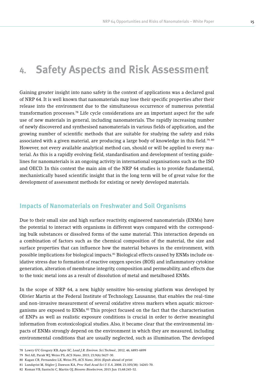# **4. Safety Aspects and Risk Assessment**

Gaining greater insight into nano safety in the context of applications was a declared goal of NRP 64. It is well known that nanomaterials may lose their specific properties after their release into the environment due to the simultaneous occurrence of numerous potential transformation processes.78 Life cycle considerations are an important aspect for the safe use of new materials in general, including nanomaterials. The rapidly increasing number of newly discovered and synthesised nanomaterials in various fields of application, and the growing number of scientific methods that are suitable for studying the safety and risks associated with a given material, are producing a large body of knowledge in this field.<sup>79, 80</sup> However, not every available analytical method can, should or will be applied to every material. As this is a rapidly evolving field, standardisation and development of testing guidelines for nanomaterials is an ongoing activity in international organisations such as the ISO and OECD. In this context the main aim of the NRP 64 studies is to provide fundamental, mechanistically based scientific insight that in the long term will be of great value for the development of assessment methods for existing or newly developed materials.

## **Impacts of Nanomaterials on Freshwater and Soil Organisms**

Due to their small size and high surface reactivity, engineered nanomaterials (ENMs) have the potential to interact with organisms in different ways compared with the corresponding bulk substances or dissolved forms of the same material. This interaction depends on a combination of factors such as the chemical composition of the material, the size and surface properties that can influence how the material behaves in the environment, with possible implications for biological impacts.81 Biological effects caused by ENMs include oxidative stress due to formation of reactive oxygen species (ROS) and inflammatory cytokine generation, alteration of membrane integrity, composition and permeability, and effects due to the toxic metal ions as a result of dissolution of metal and metalbased ENMs.

In the scope of NRP 64, a new, highly sensitive bio-sensing platform was developed by Olivier Martin at the Federal Institute of Technology, Lausanne, that enables the real-time and non-invasive measurement of several oxidative stress markers when aquatic microorganisms are exposed to ENMs.<sup>82</sup> This project focused on the fact that the characterisation of ENPs as well as realistic exposure conditions is crucial in order to derive meaningful information from ecotoxicological studies. Also, it became clear that the environmental impacts of ENMs strongly depend on the environment in which they are measured, including environmental conditions that are usually neglected, such as illumination. The developed

<sup>78</sup> Lowry GV, Gregory KB, Apte SC, *Lead J.R. Environ. Sci.Technol.*, 2012, 46, 6893-6899

<sup>79</sup> Nel AE, Parak WJ, Weiss PS, *ACS Nano*, 2015; 23;9(6):5627-30.

<sup>80</sup> Kagan CR, Fernandez LE, Weiss PS, *ACS Nano*, 2016 (Epub ahead of print

<sup>81</sup> Lundqvist M, Stigler J, Dawson KA, *Proc Natl Acad Sci U S A*, 2008; 23;105(38): 14265-70.

<sup>82</sup> Koman VB, Santschi C, Martin OJ, *Biosens Bioelectron*, 2015 Jun 15;68:245-52.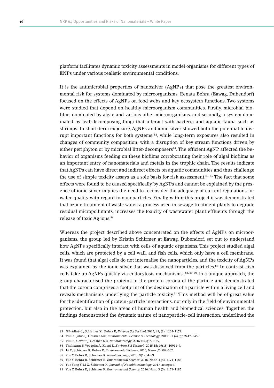platform facilitates dynamic toxicity assessments in model organisms for different types of ENPs under various realistic environmental conditions.

It is the antimicrobial properties of nanosilver (AgNPs) that pose the greatest environmental risk for systems dominated by microorganisms. Renata Behra (Eawag, Dubendorf) focused on the effects of AgNPs on food webs and key ecosystem functions. Two systems were studied that depend on healthy microorganism communities. Firstly, microbial biofilms dominated by algae and various other microorganisms, and secondly, a system dominated by leaf-decomposing fungi that interact with bacteria and aquatic fauna such as shrimps. In short-term exposure, AgNPs and ionic silver showed both the potential to disrupt important functions for both systems 83, while long-term exposures also resulted in changes of community composition, with a disruption of key stream functions driven by either periphyton or by microbial litter-decomposers<sup>84</sup>. The efficient AgNP affected the behavior of organisms feeding on these biofilms corroborating their role of algal biofilms as an important entry of nanomaterials and metals in the trophic chain. The results indicate that AgNPs can have direct and indirect effects on aquatic communities and thus challenge the use of simple toxicity assays as a sole basis for risk assessment.<sup>84, 85</sup> The fact that some effects were found to be caused specifically by AgNPs and cannot be explained by the presence of ionic silver implies the need to reconsider the adequacy of current regulations for water-quality with regard to nanoparticles. Finally, within this project it was demonstrated that ozone treatment of waste water, a process used in sewage treatment plants to degrade residual micropollutants, increases the toxicity of wastewater plant effluents through the release of toxic Ag ions.<sup>86</sup>

Whereas the project described above concentrated on the effects of AgNPs on microorganisms, the group led by Kristin Schirmer at Eawag, Dubendorf, set out to understand how AgNPs specifically interact with cells of aquatic organisms. This project studied algal cells, which are protected by a cell wall, and fish cells, which only have a cell membrane. It was found that algal cells do not internalise the nanoparticles, and the toxicity of AgNPs was explained by the ionic silver that was dissolved from the particles.<sup>87</sup> In contrast, fish cells take up AgNPs quickly via endocytosis mechanisms..<sup>88, 89, 90</sup> In a unique approach, the group characterised the proteins in the protein corona of the particle and demonstrated that the corona comprises a footprint of the destination of a particle within a living cell and reveals mechanisms underlying the particle toxicity.<sup>91</sup> This method will be of great value for the identification of protein-particle interactions, not only in the field of environmental protection, but also in the areas of human health and biomedical sciences. Together, the findings demonstrated the dynamic nature of nanoparticle-cell interaction, underlined the

<sup>83</sup> Gil-Allué C., Schirmer K., Behra R, *Environ Sci Technol*, 2015; 49, (2), 1165-1172.

<sup>84</sup> Tlili A, Jabiol J, Gessner MO, *Environmental Science & Technology*, 2017: 51 (4), pp 2447–2455.

<sup>85</sup> Tlili A, Cornut J, Gessner MO, *Nanotoxicology*, 2016;10(6):728-35.

<sup>86</sup> Thalmann B, Voegelin A, Kaegi R, *Environ Sci Technol.*, 2015 15; 49(18):10911-9.

<sup>87</sup> Li X, Schirmer K, Behra R, *Environmental Science*, 2015, Nano. ,2, 594-602.

<sup>88</sup> Yue Y, Behra R, Schirmer K, *Nanotoxicology*, 2015, 9(1):54-63.

<sup>89</sup> Yue Y, Behra R, Schirmer K, *Environmental Science*, 2016, Nano 3 (5), 1174-1185

<sup>90</sup> Yue Yang Y, Li X, Schirmer K, *Journal of Nanobiotechnology*, 2017, accepted.

<sup>91</sup> Yue Y, Behra R, Schirmer K, *Environmental Science*, 2016, Nano 3 (5), 1174-1185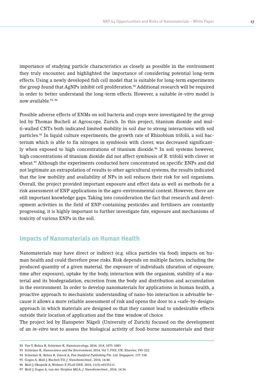importance of studying particle characteristics as closely as possible in the environment they truly encounter, and highlighted the importance of considering potential long-term effects. Using a newly developed fish cell model that is suitable for long-term experiments the group found that AgNPs inhibit cell proliferation.<sup>92</sup> Additional research will be required in order to better understand the long-term effects. However, a suitable *in-vitro* model is now available.93, 94

Possible adverse effects of ENMs on soil bacteria and crops were investigated by the group led by Thomas Bucheli at Agroscope, Zurich. In this project, titanium dioxide and multi-walled CNTs both indicated limited mobility in soil due to strong interactions with soil particles.95 In liquid culture experiments, the growth rate of Rhizobium trifolii, a soil bacterium which is able to fix nitrogen in symbiosis with clover, was decreased significantly when exposed to high concentrations of titanium dioxide.<sup>96</sup> In soil systems however, high concentrations of titanium dioxide did not affect symbiosis of R. trifolii with clover or wheat.<sup>97</sup> Although the experiments conducted here concentrated on specific ENPs and did not legitimate an extrapolation of results to other agricultural systems, the results indicated that the low mobility and availability of NPs in soil reduces their risk for soil organisms. Overall, the project provided important exposure and effect data as well as methods for a risk assessment of ENP applications in the agro-environmental context. However, there are still important knowledge gaps. Taking into consideration the fact that research and development activities in the field of ENP-containing pesticides and fertilisers are constantly progressing, it is highly important to further investigate fate, exposure and mechanisms of toxicity of various ENPs in the soil.

## **Impacts of Nanomaterials on Human Health**

Nanomaterials may have direct or indirect (e.g. silica particles via food) impacts on human health and could therefore pose risks. Risk depends on multiple factors, including the produced quantity of a given material, the exposure of individuals (duration of exposure, time after exposure), uptake by the body, interaction with the organism, stability of a material and its biodegradation, excretion from the body and distribution and accumulation in the environment. In order to develop nanomaterials for applications in human health, a proactive approach to mechanistic understanding of nano-bio interaction is advisable because it allows a more reliable assessment of risk and opens the door to a «safe-by-design» approach in which materials are designed so that they cannot lead to undesirable effects outside their location of application and the time window of choice.

The project led by Hanspeter Nägeli (University of Zurich) focused on the development of an *in-vitro* test to assess the biological activity of food-borne nanomaterials and their

<sup>92</sup> Yue Y, Behra R, Schirmer K, *Nanotoxicology*, 2016, 10:8, 1075-1083

<sup>93</sup> Schirmer K, *Nanoscience and the Environment*, 2014, Vol 7, *FNS*, UK: Elsevier, 195-222.

<sup>94</sup> Schirmer K, Behra R, Zweck A, *Pan Stanford Publishing Pte. Ltd. Singapore*, 137-158

<sup>95</sup> Gogos A, Moll J, Bucheli TD, *J. Nanobiotechnol.*, 2016, 14:40.

<sup>96</sup> Moll J, Okupnik A, Widmer F, *PLoS ONE*, 2016, 11(5):e0155111.

<sup>97</sup> Moll J, Gogos A, van der Heijden MGA, *J. Nanobiotechnol.*, 2016, 14:36.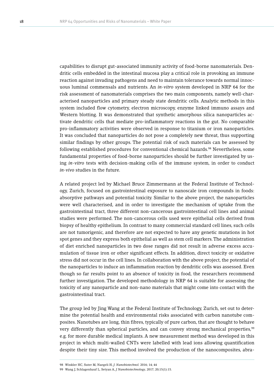capabilities to disrupt gut-associated immunity activity of food-borne nanomaterials. Dendritic cells embedded in the intestinal mucosa play a critical role in provoking an immune reaction against invading pathogens and need to maintain tolerance towards normal innocuous luminal commensals and nutrients. An *in-vitro* system developed in NRP 64 for the risk assessment of nanomaterials comprises the two main components, namely well-characterised nanoparticles and primary steady state dendritic cells. Analytic methods in this system included flow cytometry, electron microscopy, enzyme linked immuno assays and Western blotting. It was demonstrated that synthetic amorphous silica nanoparticles activate dendritic cells that mediate pro-inflammatory reactions in the gut. No comparable pro-inflammatory activities were observed in response to titanium or iron nanoparticles. It was concluded that nanoparticles do not pose a completely new threat, thus supporting similar findings by other groups. The potential risk of such materials can be assessed by following established procedures for conventional chemical hazards.<sup>98</sup> Nevertheless, some fundamental properties of food-borne nanoparticles should be further investigated by using *in-vitro* tests with decision-making cells of the immune system, in order to conduct *in-vivo* studies in the future.

A related project led by Michael Bruce Zimmermann at the Federal Institute of Technology, Zurich, focused on gastrointestinal exposure to nanoscale iron compounds in foods: absorptive pathways and potential toxicity. Similar to the above project, the nanoparticles were well characterised, and in order to investigate the mechanism of uptake from the gastrointestinal tract, three different non-cancerous gastrointestinal cell lines and animal studies were performed. The non-cancerous cells used were epithelial cells derived from biopsy of healthy epithelium. In contrast to many commercial standard cell lines, such cells are not tumorigenic, and therefore are not expected to have any genetic mutations in hot spot genes and they express both epithelial as well as stem cell markers. The administration of diet enriched nanoparticles in two dose ranges did not result in adverse excess accumulation of tissue iron or other significant effects. In addition, direct toxicity or oxidative stress did not occur in the cell lines. In collaboration with the above project, the potential of the nanoparticles to induce an inflammation reaction by dendritic cells was assessed. Even though so far results point to an absence of toxicity in food, the researchers recommend further investigation. The developed methodology in NRP 64 is suitable for assessing the toxicity of any nanoparticle and non-nano materials that might come into contact with the gastrointestinal tract.

The group led by Jing Wang at the Federal Institute of Technology, Zurich, set out to determine the potential health and environmental risks associated with carbon nanotube composites. Nanotubes are long, thin fibres, typically of pure carbon, that are thought to behave very differently than spherical particles, and can convey strong mechanical properties,<sup>99</sup> e.g. for more durable medical implants. A new measurement method was developed in this project in which multi-walled CNTs were labelled with lead ions allowing quantification despite their tiny size. This method involved the production of the nanocomposites, abra-

<sup>98</sup> Winkler HC, Suter M, Naegeli H, *J. Nanobiotechnol.* 2016; 14; 44

<sup>99</sup> Wang J, Schlagenhauf L, Setyan A, *J Nanobiotechnology*, 2017, 20;15(1):15.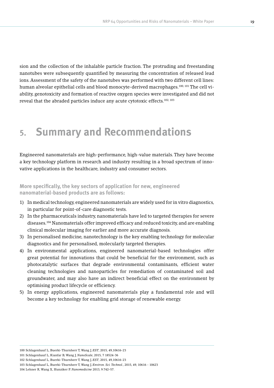sion and the collection of the inhalable particle fraction. The protruding and freestanding nanotubes were subsequently quantified by measuring the concentration of released lead ions. Assessment of the safety of the nanotubes was performed with two different cell lines: human alveolar epithelial cells and blood monocyte-derived macrophages.100, 101 The cell viability, genotoxicity and formation of reactive oxygen species were investigated and did not reveal that the abraded particles induce any acute cytotoxic effects.102, 103

# **5. Summary and Recommendations**

Engineered nanomaterials are high-performance, high-value materials. They have become a key technology platform in research and industry resulting in a broad spectrum of innovative applications in the healthcare, industry and consumer sectors.

### **More specifically, the key sectors of application for new, engineered nanomaterial-based products are as follows:**

- 1) In medical technology, engineered nanomaterials are widely used for in vitro diagnostics, in particular for point-of-care diagnostic tests.
- 2) In the pharmaceuticals industry, nanomaterials have led to targeted therapies for severe diseases.104 Nanomaterials offer improved efficacy and reduced toxicity, and are enabling clinical molecular imaging for earlier and more accurate diagnosis.
- 3) In personalised medicine, nanotechnology is the key enabling technology for molecular diagnostics and for personalised, molecularly targeted therapies.
- 4) In environmental applications, engineered nanomaterial-based technologies offer great potential for innovations that could be beneficial for the environment, such as photocatalytic surfaces that degrade environmental contaminants, efficient water cleaning technologies and nanoparticles for remediation of contaminated soil and groundwater, and may also have an indirect beneficial effect on the environment by optimising product lifecycle or efficiency.
- 5) In energy applications, engineered nanomaterials play a fundamental role and will become a key technology for enabling grid storage of renewable energy.

<sup>100</sup> Schlagenhauf L, Buerki-Thurnherr T, Wang J, *EST*, 2015, 49,10616-23

<sup>101</sup> Schlagenhauf L, Kianfar B, Wang J, *NanoScale*, 2015, 7 18524-36

<sup>102</sup> Schlagenhauf L, Buerki-Thurnherr T, Wang J, *EST*, 2015, 49,10616-23

<sup>103</sup> Schlagenhauf L, Buerki-Thurnherr T, Wang J, *Environ. Sci. Technol.*, 2015, 49, 10616 - 10623

<sup>104</sup> Lehner R, Wang X, Hunziker P. *Nanomedicine* 2013, 9:742–57.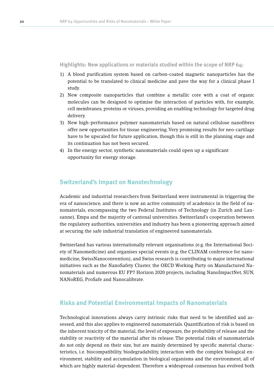**Highlights: New applications or materials studied within the scope of NRP 64:** 

- 1) A blood purification system based on carbon-coated magnetic nanoparticles has the potential to be translated to clinical medicine and pave the way for a clinical phase I study.
- 2) New composite nanoparticles that combine a metallic core with a coat of organic molecules can be designed to optimise the interaction of particles with, for example, cell membranes, proteins or viruses, providing an enabling technology for targeted drug delivery.
- 3) New high-performance polymer nanomaterials based on natural cellulose nanofibres offer new opportunities for tissue engineering. Very promising results for neo-cartilage have to be upscaled for future application, though this is still in the planning stage and its continuation has not been secured.
- 4) In the energy sector, synthetic nanomaterials could open up a significant opportunity for energy storage.

### **Switzerland's Impact on Nanotechnology**

Academic and industrial researchers from Switzerland were instrumental in triggering the era of nanoscience, and there is now an active community of academics in the field of nanomaterials, encompassing the two Federal Institutes of Technology (in Zurich and Lausanne), Empa and the majority of cantonal universities. Switzerland's cooperation between the regulatory authorities, universities and industry has been a pioneering approach aimed at securing the safe industrial translation of engineered nanomaterials.

Switzerland has various internationally relevant organisations (e.g. the International Society of Nanomedicine) and organises special events (e.g. the CLINAM conference for nanomedicine, SwissNanoconvention), and Swiss research is contributing to major international initiatives such as the NanoSafety Cluster, the OECD Working Party on Manufactured Nanomaterials and numerous EU FP7 Horizon 2020 projects, including NanoImpactNet, SUN, NANoREG, ProSafe and Nanocalibrate.

## **Risks and Potential Environmental Impacts of Nanomaterials**

Technological innovations always carry intrinsic risks that need to be identified and assessed, and this also applies to engineered nanomaterials. Quantification of risk is based on the inherent toxicity of the material, the level of exposure, the probability of release and the stability or reactivity of the material after its release. The potential risks of nanomaterials do not only depend on their size, but are mainly determined by specific material characteristics, i.e. biocompatibility, biodegradability, interaction with the complex biological environment, stability and accumulation in biological organisms and the environment, all of which are highly material-dependent. Therefore a widespread consensus has evolved both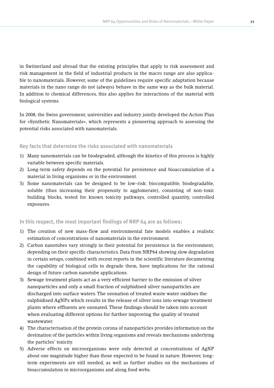in Switzerland and abroad that the existing principles that apply to risk assessment and risk management in the field of industrial products in the macro range are also applicable to nanomaterials. However, some of the guidelines require specific adaptation because materials in the nano range do not (always) behave in the same way as the bulk material. In addition to chemical differences, this also applies for interactions of the material with biological systems.

In 2008, the Swiss government, universities and industry jointly developed the Action Plan for «Synthetic Nanomaterials», which represents a pioneering approach to assessing the potential risks associated with nanomaterials.

#### **Key facts that determine the risks associated with nanomaterials**

- 1) Many nanomaterials can be biodegraded, although the kinetics of this process is highly variable between specific materials.
- 2) Long-term safety depends on the potential for persistence and bioaccumulation of a material in living organisms or in the environment.
- 3) Some nanomaterials can be designed to be low-risk: biocompatible, biodegradable, soluble (thus increasing their propensity to agglomerate), consisting of non-toxic building blocks, tested for known toxicity pathways, controlled quantity, controlled exposures.

#### **In this respect, the most important findings of NRP 64 are as follows:**

- 1) The creation of new mass-flow and environmental fate models enables a realistic estimation of concentrations of nanomaterials in the environment.
- 2) Carbon nanotubes vary strongly in their potential for persistence in the environment, depending on their specific characteristics. Data from NRP64 showing slow degradation in certain setups, combined with recent reports in the scientific literature documenting the capability of biological cells to degrade them, have implications for the rational design of future carbon nanotube applications.
- 3) Sewage treatment plants act as a very efficient barrier to the emission of silver nanoparticles and only a small fraction of sulphidised silver nanoparticles are discharged into surface waters. The ozonation of treated waste water oxidises the sulphidised AgNPs which results in the release of silver ions into sewage treatment plants where effluents are ozonated. These findings should be taken into account when evaluating different options for further improving the quality of treated wastewater.
- 4) The characterisation of the protein corona of nanoparticles provides information on the destination of the particles within living organisms and reveals mechanisms underlying the particles' toxicity.
- 5) Adverse effects on microorganisms were only detected at concentrations of AgNP about one magnitude higher than those expected to be found in nature. However, longterm experiments are still needed, as well as further studies on the mechanisms of bioaccumulation in microorganisms and along food webs.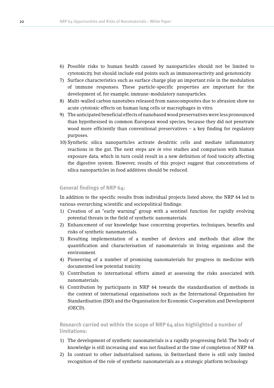- 6) Possible risks to human health caused by nanoparticles should not be limited to cytotoxicity, but should include end points such as immunoreactivity and genotoxicity.
- 7) Surface characteristics such as surface charge play an important role in the modulation of immune responses. These particle-specific properties are important for the development of, for example, immune-modulatory nanoparticles.
- 8) Multi-walled carbon nanotubes released from nanocomposites due to abrasion show no acute cytotoxic effects on human lung cells or macrophages in vitro.
- 9) The anticipated beneficial effects of nanobased wood preservatives were less pronounced than hypothesised in common European wood species, because they did not penetrate wood more efficiently than conventional preservatives – a key finding for regulatory purposes.
- 10) Synthetic silica nanoparticles activate dendritic cells and mediate inflammatory reactions in the gut. The next steps are *in vivo* studies and comparison with human exposure data, which in turn could result in a new definition of food toxicity affecting the digestive system. However, results of this project suggest that concentrations of silica nanoparticles in food additives should be reduced.

#### **General findings of NRP 64:**

In addition to the specific results from individual projects listed above, the NRP 64 led to various overarching scientific and sociopolitical findings:

- 1) Creation of an "early warning" group with a sentinel function for rapidly evolving potential threats in the field of synthetic nanomaterials.
- 2) Enhancement of our knowledge base concerning properties, techniques, benefits and risks of synthetic nanomaterials.
- 3) Resulting implementation of a number of devices and methods that allow the quantification and characterisation of nanomaterials in living organisms and the environment.
- 4) Pioneering of a number of promising nanomaterials for progress in medicine with documented low potential toxicity.
- 5) Contribution to international efforts aimed at assessing the risks associated with nanomaterials.
- 6) Contribution by participants in NRP 64 towards the standardisation of methods in the context of international organisations such as the International Organisation for Standardisation (ISO) and the Organisation for Economic Cooperation and Development (OECD).

**Research carried out within the scope of NRP 64 also highlighted a number of limitations:**

- 1) The development of synthetic nanomaterials is a rapidly progressing field. The body of knowledge is still increasing and was not finalised at the time of completion of NRP 64.
- 2) In contrast to other industrialised nations, in Switzerland there is still only limited recognition of the role of synthetic nanomaterials as a strategic platform technology.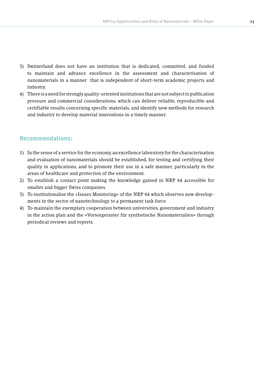- 3) Switzerland does not have an institution that is dedicated, committed, and funded to maintain and advance excellence in the assessment and characterisation of nanomaterials in a manner that is independent of short-term academic projects and industry.
- 4) There is a need for strongly quality-oriented institutions that are not subject to publication pressure and commercial considerations, which can deliver reliable, reproducible and certifiable results concerning specific materials, and identify new methods for research and industry to develop material innovations in a timely manner.

## **Recommendations:**

- 1) In the sense of a service for the economy, an excellence laboratory for the characterisation and evaluation of nanomaterials should be established, for testing and certifying their quality in applications, and to promote their use in a safe manner, particularly in the areas of healthcare and protection of the environment.
- 2) To establish a contact point making the knowledge gained in NRP 64 accessible for smaller and bigger Swiss companies.
- 3) To institutionalise the «Issues Monitoring» of the NRP 64 which observes new developments in the sector of nanotechnology to a permanent task force.
- 4) To maintain the exemplary cooperation between universities, government and industry in the action plan and the «Vorsorgeraster für synthetische Nanomaterialien» through periodical reviews and reports.